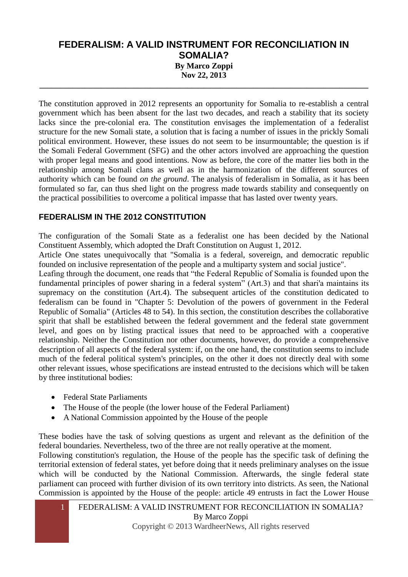## **FEDERALISM: A VALID INSTRUMENT FOR RECONCILIATION IN SOMALIA? By Marco Zoppi Nov 22, 2013 \_\_\_\_\_\_\_\_\_\_\_\_\_\_\_\_\_\_\_\_\_\_\_\_\_\_\_\_\_\_\_\_\_\_\_\_\_\_\_\_\_\_\_\_\_\_\_\_\_\_\_\_\_\_\_\_\_\_\_\_\_\_\_\_\_\_\_\_\_\_\_\_\_\_\_\_\_\_\_\_**

The constitution approved in 2012 represents an opportunity for Somalia to re-establish a central government which has been absent for the last two decades, and reach a stability that its society lacks since the pre-colonial era. The constitution envisages the implementation of a federalist structure for the new Somali state, a solution that is facing a number of issues in the prickly Somali political environment. However, these issues do not seem to be insurmountable; the question is if the Somali Federal Government (SFG) and the other actors involved are approaching the question with proper legal means and good intentions. Now as before, the core of the matter lies both in the relationship among Somali clans as well as in the harmonization of the different sources of authority which can be found *on the ground*. The analysis of federalism in Somalia, as it has been formulated so far, can thus shed light on the progress made towards stability and consequently on the practical possibilities to overcome a political impasse that has lasted over twenty years.

## **FEDERALISM IN THE 2012 CONSTITUTION**

The configuration of the Somali State as a federalist one has been decided by the National Constituent Assembly, which adopted the Draft Constitution on August 1, 2012.

Article One states unequivocally that "Somalia is a federal, sovereign, and democratic republic founded on inclusive representation of the people and a multiparty system and social justice".

Leafing through the document, one reads that "the Federal Republic of Somalia is founded upon the fundamental principles of power sharing in a federal system" (Art.3) and that shari'a maintains its supremacy on the constitution (Art.4). The subsequent articles of the constitution dedicated to federalism can be found in "Chapter 5: Devolution of the powers of government in the Federal Republic of Somalia" (Articles 48 to 54). In this section, the constitution describes the collaborative spirit that shall be established between the federal government and the federal state government level, and goes on by listing practical issues that need to be approached with a cooperative relationship. Neither the Constitution nor other documents, however, do provide a comprehensive description of all aspects of the federal system: if, on the one hand, the constitution seems to include much of the federal political system's principles, on the other it does not directly deal with some other relevant issues, whose specifications are instead entrusted to the decisions which will be taken by three institutional bodies:

- Federal State Parliaments
- The House of the people (the lower house of the Federal Parliament)
- A National Commission appointed by the House of the people

These bodies have the task of solving questions as urgent and relevant as the definition of the federal boundaries. Nevertheless, two of the three are not really operative at the moment.

Following constitution's regulation, the House of the people has the specific task of defining the territorial extension of federal states, yet before doing that it needs preliminary analyses on the issue which will be conducted by the National Commission. Afterwards, the single federal state parliament can proceed with further division of its own territory into districts. As seen, the National Commission is appointed by the House of the people: article 49 entrusts in fact the Lower House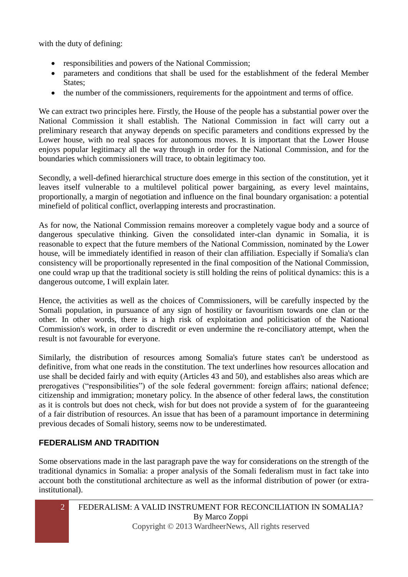with the duty of defining:

- responsibilities and powers of the National Commission;
- parameters and conditions that shall be used for the establishment of the federal Member States;
- the number of the commissioners, requirements for the appointment and terms of office.

We can extract two principles here. Firstly, the House of the people has a substantial power over the National Commission it shall establish. The National Commission in fact will carry out a preliminary research that anyway depends on specific parameters and conditions expressed by the Lower house, with no real spaces for autonomous moves. It is important that the Lower House enjoys popular legitimacy all the way through in order for the National Commission, and for the boundaries which commissioners will trace, to obtain legitimacy too.

Secondly, a well-defined hierarchical structure does emerge in this section of the constitution, yet it leaves itself vulnerable to a multilevel political power bargaining, as every level maintains, proportionally, a margin of negotiation and influence on the final boundary organisation: a potential minefield of political conflict, overlapping interests and procrastination.

As for now, the National Commission remains moreover a completely vague body and a source of dangerous speculative thinking. Given the consolidated inter-clan dynamic in Somalia, it is reasonable to expect that the future members of the National Commission, nominated by the Lower house, will be immediately identified in reason of their clan affiliation. Especially if Somalia's clan consistency will be proportionally represented in the final composition of the National Commission, one could wrap up that the traditional society is still holding the reins of political dynamics: this is a dangerous outcome, I will explain later.

Hence, the activities as well as the choices of Commissioners, will be carefully inspected by the Somali population, in pursuance of any sign of hostility or favouritism towards one clan or the other. In other words, there is a high risk of exploitation and politicisation of the National Commission's work, in order to discredit or even undermine the re-conciliatory attempt, when the result is not favourable for everyone.

Similarly, the distribution of resources among Somalia's future states can't be understood as definitive, from what one reads in the constitution. The text underlines how resources allocation and use shall be decided fairly and with equity (Articles 43 and 50), and establishes also areas which are prerogatives ("responsibilities") of the sole federal government: foreign affairs; national defence; citizenship and immigration; monetary policy. In the absence of other federal laws, the constitution as it is controls but does not check, wish for but does not provide a system of for the guaranteeing of a fair distribution of resources. An issue that has been of a paramount importance in determining previous decades of Somali history, seems now to be underestimated.

## **FEDERALISM AND TRADITION**

Some observations made in the last paragraph pave the way for considerations on the strength of the traditional dynamics in Somalia: a proper analysis of the Somali federalism must in fact take into account both the constitutional architecture as well as the informal distribution of power (or extrainstitutional).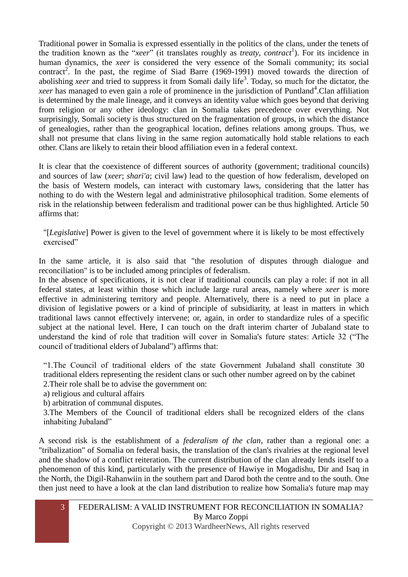Traditional power in Somalia is expressed essentially in the politics of the clans, under the tenets of the tradition known as the "*xeer*" (it translates roughly as *treaty*, *contract*<sup>1</sup>). For its incidence in human dynamics, the *xeer* is considered the very essence of the Somali community; its social contract<sup>2</sup>. In the past, the regime of Siad Barre (1969-1991) moved towards the direction of abolishing *xeer* and tried to suppress it from Somali daily life<sup>3</sup>. Today, so much for the dictator, the *xeer* has managed to even gain a role of prominence in the jurisdiction of Puntland<sup>4</sup>.Clan affiliation is determined by the male lineage, and it conveys an identity value which goes beyond that deriving from religion or any other ideology: clan in Somalia takes precedence over everything. Not surprisingly, Somali society is thus structured on the fragmentation of groups, in which the distance of genealogies, rather than the geographical location, defines relations among groups. Thus, we shall not presume that clans living in the same region automatically hold stable relations to each other. Clans are likely to retain their blood affiliation even in a federal context.

It is clear that the coexistence of different sources of authority (government; traditional councils) and sources of law (*xeer*; *shari'a*; civil law) lead to the question of how federalism, developed on the basis of Western models, can interact with customary laws, considering that the latter has nothing to do with the Western legal and administrative philosophical tradition. Some elements of risk in the relationship between federalism and traditional power can be thus highlighted. Article 50 affirms that:

"[*Legislative*] Power is given to the level of government where it is likely to be most effectively exercised"

In the same article, it is also said that "the resolution of disputes through dialogue and reconciliation" is to be included among principles of federalism.

In the absence of specifications, it is not clear if traditional councils can play a role: if not in all federal states, at least within those which include large rural areas, namely where *xeer* is more effective in administering territory and people. Alternatively, there is a need to put in place a division of legislative powers or a kind of principle of subsidiarity, at least in matters in which traditional laws cannot effectively intervene; or, again, in order to standardize rules of a specific subject at the national level. Here, I can touch on the draft interim charter of Jubaland state to understand the kind of role that tradition will cover in Somalia's future states: Article 32 ("The council of traditional elders of Jubaland") affirms that:

"1.The Council of traditional elders of the state Government Jubaland shall constitute 30 traditional elders representing the resident clans or such other number agreed on by the cabinet 2.Their role shall be to advise the government on:

a) religious and cultural affairs

b) arbitration of communal disputes.

3.The Members of the Council of traditional elders shall be recognized elders of the clans inhabiting Jubaland"

A second risk is the establishment of a *federalism of the clan*, rather than a regional one: a "tribalization" of Somalia on federal basis, the translation of the clan's rivalries at the regional level and the shadow of a conflict reiteration. The current distribution of the clan already lends itself to a phenomenon of this kind, particularly with the presence of Hawiye in Mogadishu, Dir and Isaq in the North, the Digil-Rahanwiin in the southern part and Darod both the centre and to the south. One then just need to have a look at the clan land distribution to realize how Somalia's future map may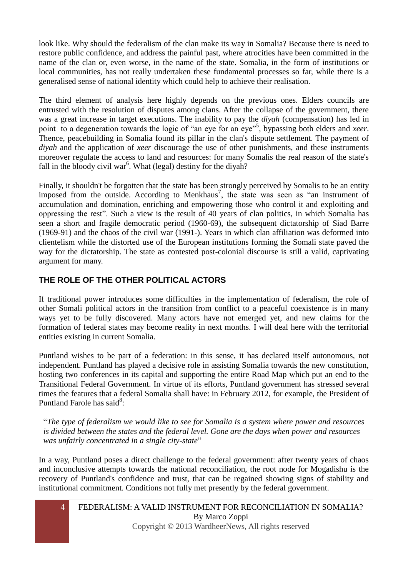look like. Why should the federalism of the clan make its way in Somalia? Because there is need to restore public confidence, and address the painful past, where atrocities have been committed in the name of the clan or, even worse, in the name of the state. Somalia, in the form of institutions or local communities, has not really undertaken these fundamental processes so far, while there is a generalised sense of national identity which could help to achieve their realisation.

The third element of analysis here highly depends on the previous ones. Elders councils are entrusted with the resolution of disputes among clans. After the collapse of the government, there was a great increase in target executions. The inability to pay the *diyah* (compensation) has led in point to a degeneration towards the logic of "an eye for an eye"<sup>5</sup>, bypassing both elders and *xeer*. Thence, peacebuilding in Somalia found its pillar in the clan's dispute settlement. The payment of *diyah* and the application of *xeer* discourage the use of other punishments, and these instruments moreover regulate the access to land and resources: for many Somalis the real reason of the state's fall in the bloody civil war<sup>6</sup>. What (legal) destiny for the diyah?

Finally, it shouldn't be forgotten that the state has been strongly perceived by Somalis to be an entity imposed from the outside. According to Menkhaus<sup>7</sup>, the state was seen as "an instrument of accumulation and domination, enriching and empowering those who control it and exploiting and oppressing the rest". Such a view is the result of 40 years of clan politics, in which Somalia has seen a short and fragile democratic period (1960-69), the subsequent dictatorship of Siad Barre (1969-91) and the chaos of the civil war (1991-). Years in which clan affiliation was deformed into clientelism while the distorted use of the European institutions forming the Somali state paved the way for the dictatorship. The state as contested post-colonial discourse is still a valid, captivating argument for many.

# **THE ROLE OF THE OTHER POLITICAL ACTORS**

If traditional power introduces some difficulties in the implementation of federalism, the role of other Somali political actors in the transition from conflict to a peaceful coexistence is in many ways yet to be fully discovered. Many actors have not emerged yet, and new claims for the formation of federal states may become reality in next months. I will deal here with the territorial entities existing in current Somalia.

Puntland wishes to be part of a federation: in this sense, it has declared itself autonomous, not independent. Puntland has played a decisive role in assisting Somalia towards the new constitution, hosting two conferences in its capital and supporting the entire Road Map which put an end to the Transitional Federal Government. In virtue of its efforts, Puntland government has stressed several times the features that a federal Somalia shall have: in February 2012, for example, the President of Puntland Farole has said<sup>8</sup>:

"*The type of federalism we would like to see for Somalia is a system where power and resources is divided between the states and the federal level. Gone are the days when power and resources was unfairly concentrated in a single city-state*"

In a way, Puntland poses a direct challenge to the federal government: after twenty years of chaos and inconclusive attempts towards the national reconciliation, the root node for Mogadishu is the recovery of Puntland's confidence and trust, that can be regained showing signs of stability and institutional commitment. Conditions not fully met presently by the federal government.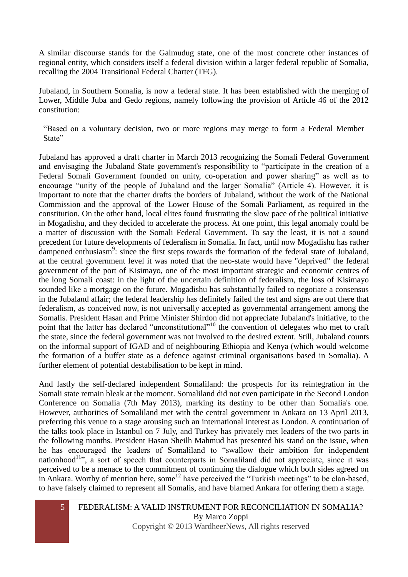A similar discourse stands for the Galmudug state, one of the most concrete other instances of regional entity, which considers itself a federal division within a larger federal republic of Somalia, recalling the 2004 Transitional Federal Charter (TFG).

Jubaland, in Southern Somalia, is now a federal state. It has been established with the merging of Lower, Middle Juba and Gedo regions, namely following the provision of Article 46 of the 2012 constitution:

"Based on a voluntary decision, two or more regions may merge to form a Federal Member State"

Jubaland has approved a draft charter in March 2013 recognizing the Somali Federal Government and envisaging the Jubaland State government's responsibility to "participate in the creation of a Federal Somali Government founded on unity, co-operation and power sharing" as well as to encourage "unity of the people of Jubaland and the larger Somalia" (Article 4). However, it is important to note that the charter drafts the borders of Jubaland, without the work of the National Commission and the approval of the Lower House of the Somali Parliament, as required in the constitution. On the other hand, local elites found frustrating the slow pace of the political initiative in Mogadishu, and they decided to accelerate the process. At one point, this legal anomaly could be a matter of discussion with the Somali Federal Government. To say the least, it is not a sound precedent for future developments of federalism in Somalia. In fact, until now Mogadishu has rather dampened enthusiasm<sup>9</sup>: since the first steps towards the formation of the federal state of Jubaland, at the central government level it was noted that the neo-state would have "deprived" the federal government of the port of Kisimayo, one of the most important strategic and economic centres of the long Somali coast: in the light of the uncertain definition of federalism, the loss of Kisimayo sounded like a mortgage on the future. Mogadishu has substantially failed to negotiate a consensus in the Jubaland affair; the federal leadership has definitely failed the test and signs are out there that federalism, as conceived now, is not universally accepted as governmental arrangement among the Somalis. President Hasan and Prime Minister Shirdon did not appreciate Jubaland's initiative, to the point that the latter has declared "unconstitutional"<sup>10</sup> the convention of delegates who met to craft the state, since the federal government was not involved to the desired extent. Still, Jubaland counts on the informal support of IGAD and of neighbouring Ethiopia and Kenya (which would welcome the formation of a buffer state as a defence against criminal organisations based in Somalia). A further element of potential destabilisation to be kept in mind.

And lastly the self-declared independent Somaliland: the prospects for its reintegration in the Somali state remain bleak at the moment. Somaliland did not even participate in the Second London Conference on Somalia (7th May 2013), marking its destiny to be other than Somalia's one. However, authorities of Somaliland met with the central government in Ankara on 13 April 2013, preferring this venue to a stage arousing such an international interest as London. A continuation of the talks took place in Istanbul on 7 July, and Turkey has privately met leaders of the two parts in the following months. President Hasan Sheilh Mahmud has presented his stand on the issue, when he has encouraged the leaders of Somaliland to "swallow their ambition for independent nationhood<sup>11</sup>", a sort of speech that counterparts in Somaliland did not appreciate, since it was perceived to be a menace to the commitment of continuing the dialogue which both sides agreed on in Ankara. Worthy of mention here, some<sup>12</sup> have perceived the "Turkish meetings" to be clan-based, to have falsely claimed to represent all Somalis, and have blamed Ankara for offering them a stage.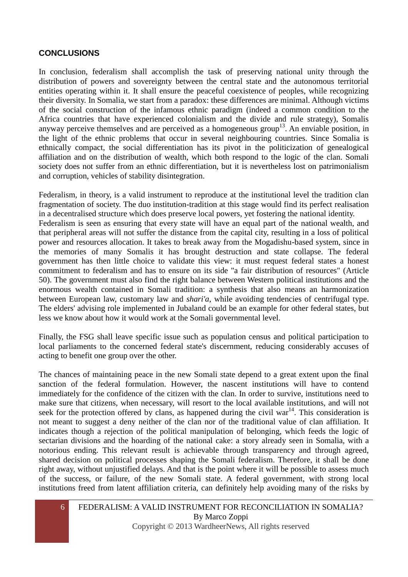### **CONCLUSIONS**

In conclusion, federalism shall accomplish the task of preserving national unity through the distribution of powers and sovereignty between the central state and the autonomous territorial entities operating within it. It shall ensure the peaceful coexistence of peoples, while recognizing their diversity. In Somalia, we start from a paradox: these differences are minimal. Although victims of the social construction of the infamous ethnic paradigm (indeed a common condition to the Africa countries that have experienced colonialism and the divide and rule strategy), Somalis anyway perceive themselves and are perceived as a homogeneous group<sup>13</sup>. An enviable position, in the light of the ethnic problems that occur in several neighbouring countries. Since Somalia is ethnically compact, the social differentiation has its pivot in the politicization of genealogical affiliation and on the distribution of wealth, which both respond to the logic of the clan. Somali society does not suffer from an ethnic differentiation, but it is nevertheless lost on patrimonialism and corruption, vehicles of stability disintegration.

Federalism, in theory, is a valid instrument to reproduce at the institutional level the tradition clan fragmentation of society. The duo institution-tradition at this stage would find its perfect realisation in a decentralised structure which does preserve local powers, yet fostering the national identity. Federalism is seen as ensuring that every state will have an equal part of the national wealth, and that peripheral areas will not suffer the distance from the capital city, resulting in a loss of political power and resources allocation. It takes to break away from the Mogadishu-based system, since in the memories of many Somalis it has brought destruction and state collapse. The federal government has then little choice to validate this view: it must request federal states a honest commitment to federalism and has to ensure on its side "a fair distribution of resources" (Article 50). The government must also find the right balance between Western political institutions and the enormous wealth contained in Somali tradition: a synthesis that also means an harmonization between European law, customary law and *shari'a*, while avoiding tendencies of centrifugal type. The elders' advising role implemented in Jubaland could be an example for other federal states, but less we know about how it would work at the Somali governmental level.

Finally, the FSG shall leave specific issue such as population census and political participation to local parliaments to the concerned federal state's discernment, reducing considerably accuses of acting to benefit one group over the other.

The chances of maintaining peace in the new Somali state depend to a great extent upon the final sanction of the federal formulation. However, the nascent institutions will have to contend immediately for the confidence of the citizen with the clan. In order to survive, institutions need to make sure that citizens, when necessary, will resort to the local available institutions, and will not seek for the protection offered by clans, as happened during the civil war<sup>14</sup>. This consideration is not meant to suggest a deny neither of the clan nor of the traditional value of clan affiliation. It indicates though a rejection of the political manipulation of belonging, which feeds the logic of sectarian divisions and the hoarding of the national cake: a story already seen in Somalia, with a notorious ending. This relevant result is achievable through transparency and through agreed, shared decision on political processes shaping the Somali federalism. Therefore, it shall be done right away, without unjustified delays. And that is the point where it will be possible to assess much of the success, or failure, of the new Somali state. A federal government, with strong local institutions freed from latent affiliation criteria, can definitely help avoiding many of the risks by

#### 6 FEDERALISM: A VALID INSTRUMENT FOR RECONCILIATION IN SOMALIA? By Marco Zoppi Copyright © 2013 WardheerNews, All rights reserved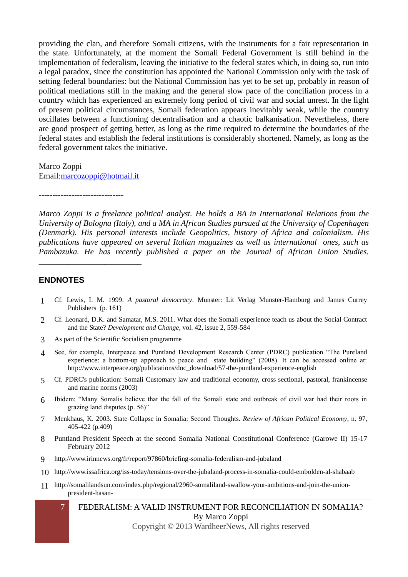providing the clan, and therefore Somali citizens, with the instruments for a fair representation in the state. Unfortunately, at the moment the Somali Federal Government is still behind in the implementation of federalism, leaving the initiative to the federal states which, in doing so, run into a legal paradox, since the constitution has appointed the National Commission only with the task of setting federal boundaries: but the National Commission has yet to be set up, probably in reason of political mediations still in the making and the general slow pace of the conciliation process in a country which has experienced an extremely long period of civil war and social unrest. In the light of present political circumstances, Somali federation appears inevitably weak, while the country oscillates between a functioning decentralisation and a chaotic balkanisation. Nevertheless, there are good prospect of getting better, as long as the time required to determine the boundaries of the federal states and establish the federal institutions is considerably shortened. Namely, as long as the federal government takes the initiative.

Marco Zoppi Email[:marcozoppi@hotmail.it](mailto:marcozoppi@hotmail.it)

-------------------------------

*Marco Zoppi is a freelance political analyst. He holds a BA in International Relations from the University of Bologna (Italy), and a MA in African Studies pursued at the University of Copenhagen (Denmark). His personal interests include Geopolitics, history of Africa and colonialism. His publications have appeared on several Italian magazines as well as international ones, such as Pambazuka. He has recently published a paper on the Journal of African Union Studies.*  \_\_\_\_\_\_\_\_\_\_\_\_\_\_\_\_\_\_\_\_\_\_\_\_\_

#### **ENDNOTES**

- 1 Cf. Lewis, I. M. 1999. *A pastoral democracy*. Munster: Lit Verlag Munster-Hamburg and James Currey Publishers (p. 161)
- 2 Cf. Leonard, D.K. and Samatar, M.S. 2011. What does the Somali experience teach us about the Social Contract and the State? *Development and Change*, vol. 42, issue 2, 559-584
- 3 As part of the Scientific Socialism programme
- 4 See, for example, Interpeace and Puntland Development Research Center (PDRC) publication "The Puntland experience: a bottom-up approach to peace and state building" (2008). It can be accessed online at: http://www.interpeace.org/publications/doc\_download/57-the-puntland-experience-english
- 5 Cf. PDRC's publication: Somali Customary law and traditional economy, cross sectional, pastoral, frankincense and marine norms (2003)
- 6 Ibidem: "Many Somalis believe that the fall of the Somali state and outbreak of civil war had their roots in grazing land disputes (p. 56)"
- 7 Menkhaus, K. 2003. State Collapse in Somalia: Second Thoughts. *Review of African Political Economy*, n. 97, 405-422 (p.409)
- 8 Puntland President Speech at the second Somalia National Constitutional Conference (Garowe II) 15-17 February 2012
- 9 http://www.irinnews.org/fr/report/97860/briefing-somalia-federalism-and-jubaland
- 10 http://www.issafrica.org/iss-today/tensions-over-the-jubaland-process-in-somalia-could-embolden-al-shabaab
- 11 http://somalilandsun.com/index.php/regional/2960-somaliland-swallow-your-ambitions-and-join-the-unionpresident-hasan-
	- 7 FEDERALISM: A VALID INSTRUMENT FOR RECONCILIATION IN SOMALIA? By Marco Zoppi

Copyright © 2013 WardheerNews, All rights reserved